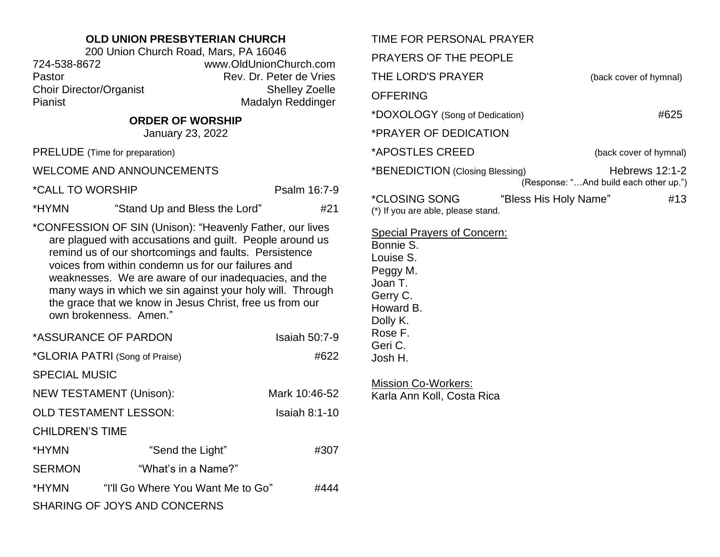## **OLD UNION PRESBYTERIAN CHURCH**

200 Union Church Road, Mars, PA 16046 724-538-8672 www.OldUnionChurch.com Pastor **Pastor** Rev. Dr. Peter de Vries Choir Director/Organist Shelley Zoelle Pianist Madalyn Reddinger

## **ORDER OF WORSHIP**

January 23, 2022

PRELUDE (Time for preparation)

WELCOME AND ANNOUNCEMENTS

\*CALL TO WORSHIP Psalm 16:7-9

\*HYMN "Stand Up and Bless the Lord" #21

\*CONFESSION OF SIN (Unison): "Heavenly Father, our lives are plagued with accusations and guilt. People around us remind us of our shortcomings and faults. Persistence voices from within condemn us for our failures and weaknesses. We are aware of our inadequacies, and the many ways in which we sin against your holy will. Through the grace that we know in Jesus Christ, free us from our own brokenness. Amen."

| *ASSURANCE OF PARDON           |                                   | <b>Isaiah 50:7-9</b> |  |
|--------------------------------|-----------------------------------|----------------------|--|
| *GLORIA PATRI (Song of Praise) |                                   | #622                 |  |
| <b>SPECIAL MUSIC</b>           |                                   |                      |  |
| <b>NEW TESTAMENT (Unison):</b> |                                   | Mark 10:46-52        |  |
| <b>OLD TESTAMENT LESSON:</b>   |                                   | Isaiah $8:1-10$      |  |
| <b>CHILDREN'S TIME</b>         |                                   |                      |  |
| *HYMN                          | "Send the Light"                  | #307                 |  |
| <b>SERMON</b>                  | "What's in a Name?"               |                      |  |
| *HYMN                          | "I'll Go Where You Want Me to Go" | #444                 |  |
| SHARING OF JOYS AND CONCERNS   |                                   |                      |  |

| TIME FOR PERSONAL PRAYER<br>PRAYERS OF THE PEOPLE                                                                                                         |                                                            |
|-----------------------------------------------------------------------------------------------------------------------------------------------------------|------------------------------------------------------------|
| THE LORD'S PRAYER                                                                                                                                         | (back cover of hymnal)                                     |
| <b>OFFERING</b>                                                                                                                                           |                                                            |
| *DOXOLOGY (Song of Dedication)                                                                                                                            | #625                                                       |
| *PRAYER OF DEDICATION                                                                                                                                     |                                                            |
| *APOSTLES CREED                                                                                                                                           | (back cover of hymnal)                                     |
| *BENEDICTION (Closing Blessing)                                                                                                                           | Hebrews $12:1-2$<br>(Response: "And build each other up.") |
| *CLOSING SONG<br>"Bless His Holy Name"<br>(*) If you are able, please stand.                                                                              | #13                                                        |
| <b>Special Prayers of Concern:</b><br>Bonnie S.<br>Louise S.<br>Peggy M.<br>Joan T.<br>Gerry C.<br>Howard B.<br>Dolly K.<br>Rose F.<br>Geri C.<br>Josh H. |                                                            |
| <b>Mission Co-Workers:</b>                                                                                                                                |                                                            |

Karla Ann Koll, Costa Rica